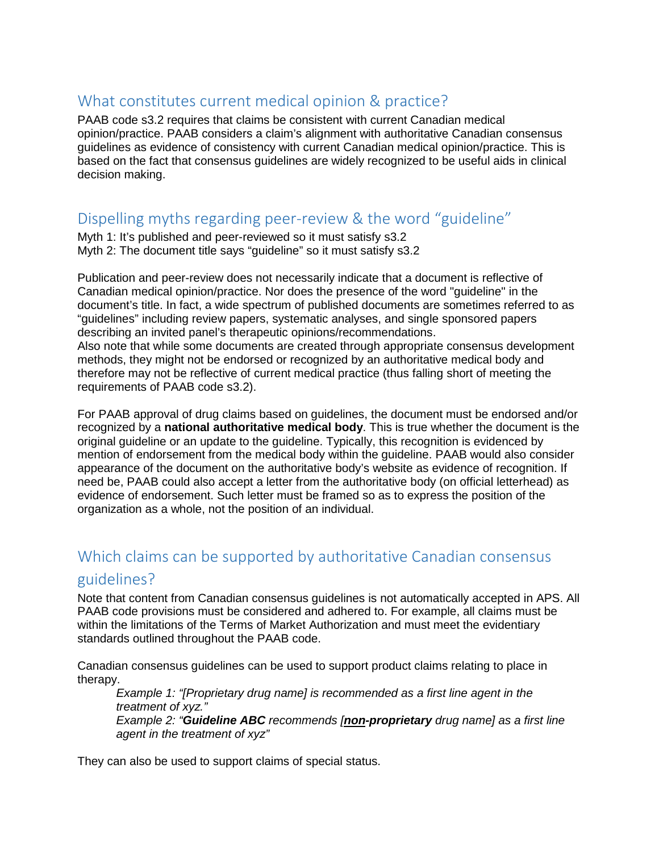## What constitutes current medical opinion & practice?

PAAB code s3.2 requires that claims be consistent with current Canadian medical opinion/practice. PAAB considers a claim's alignment with authoritative Canadian consensus guidelines as evidence of consistency with current Canadian medical opinion/practice. This is based on the fact that consensus guidelines are widely recognized to be useful aids in clinical decision making.

# Dispelling myths regarding peer-review & the word "guideline"

Myth 1: It's published and peer-reviewed so it must satisfy s3.2 Myth 2: The document title says "guideline" so it must satisfy s3.2

Publication and peer-review does not necessarily indicate that a document is reflective of Canadian medical opinion/practice. Nor does the presence of the word "guideline" in the document's title. In fact, a wide spectrum of published documents are sometimes referred to as "guidelines" including review papers, systematic analyses, and single sponsored papers describing an invited panel's therapeutic opinions/recommendations.

Also note that while some documents are created through appropriate consensus development methods, they might not be endorsed or recognized by an authoritative medical body and therefore may not be reflective of current medical practice (thus falling short of meeting the requirements of PAAB code s3.2).

For PAAB approval of drug claims based on guidelines, the document must be endorsed and/or recognized by a **national authoritative medical body**. This is true whether the document is the original guideline or an update to the guideline. Typically, this recognition is evidenced by mention of endorsement from the medical body within the guideline. PAAB would also consider appearance of the document on the authoritative body's website as evidence of recognition. If need be, PAAB could also accept a letter from the authoritative body (on official letterhead) as evidence of endorsement. Such letter must be framed so as to express the position of the organization as a whole, not the position of an individual.

## Which claims can be supported by authoritative Canadian consensus

#### guidelines?

Note that content from Canadian consensus guidelines is not automatically accepted in APS. All PAAB code provisions must be considered and adhered to. For example, all claims must be within the limitations of the Terms of Market Authorization and must meet the evidentiary standards outlined throughout the PAAB code.

Canadian consensus guidelines can be used to support product claims relating to place in therapy.

*Example 1: "[Proprietary drug name] is recommended as a first line agent in the treatment of xyz." Example 2: "Guideline ABC recommends [non-proprietary drug name] as a first line agent in the treatment of xyz"*

They can also be used to support claims of special status.